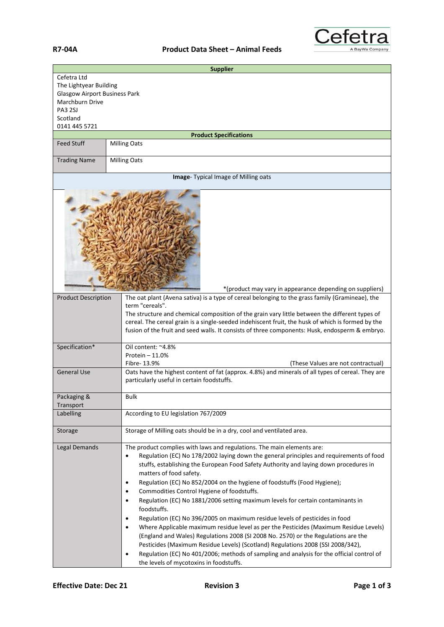

| <b>Supplier</b>                                                                                                                                 |                                                                                                                                                                                                                                                                                                                                                                                                                                                                                                                                                                                                                                                                                                                                                                                                                                                                                                                                                                                                                                                                                               |  |
|-------------------------------------------------------------------------------------------------------------------------------------------------|-----------------------------------------------------------------------------------------------------------------------------------------------------------------------------------------------------------------------------------------------------------------------------------------------------------------------------------------------------------------------------------------------------------------------------------------------------------------------------------------------------------------------------------------------------------------------------------------------------------------------------------------------------------------------------------------------------------------------------------------------------------------------------------------------------------------------------------------------------------------------------------------------------------------------------------------------------------------------------------------------------------------------------------------------------------------------------------------------|--|
| Cefetra Ltd<br>The Lightyear Building<br><b>Glasgow Airport Business Park</b><br>Marchburn Drive<br><b>PA3 2SJ</b><br>Scotland<br>0141 445 5721 |                                                                                                                                                                                                                                                                                                                                                                                                                                                                                                                                                                                                                                                                                                                                                                                                                                                                                                                                                                                                                                                                                               |  |
| <b>Product Specifications</b>                                                                                                                   |                                                                                                                                                                                                                                                                                                                                                                                                                                                                                                                                                                                                                                                                                                                                                                                                                                                                                                                                                                                                                                                                                               |  |
| <b>Feed Stuff</b>                                                                                                                               | <b>Milling Oats</b>                                                                                                                                                                                                                                                                                                                                                                                                                                                                                                                                                                                                                                                                                                                                                                                                                                                                                                                                                                                                                                                                           |  |
| <b>Trading Name</b>                                                                                                                             | <b>Milling Oats</b>                                                                                                                                                                                                                                                                                                                                                                                                                                                                                                                                                                                                                                                                                                                                                                                                                                                                                                                                                                                                                                                                           |  |
| Image- Typical Image of Milling oats                                                                                                            |                                                                                                                                                                                                                                                                                                                                                                                                                                                                                                                                                                                                                                                                                                                                                                                                                                                                                                                                                                                                                                                                                               |  |
| *(product may vary in appearance depending on suppliers)                                                                                        |                                                                                                                                                                                                                                                                                                                                                                                                                                                                                                                                                                                                                                                                                                                                                                                                                                                                                                                                                                                                                                                                                               |  |
| <b>Product Description</b>                                                                                                                      | The oat plant (Avena sativa) is a type of cereal belonging to the grass family (Gramineae), the<br>term "cereals".<br>The structure and chemical composition of the grain vary little between the different types of<br>cereal. The cereal grain is a single-seeded indehiscent fruit, the husk of which is formed by the<br>fusion of the fruit and seed walls. It consists of three components: Husk, endosperm & embryo.                                                                                                                                                                                                                                                                                                                                                                                                                                                                                                                                                                                                                                                                   |  |
| Specification*<br><b>General Use</b>                                                                                                            | Oil content: ~4.8%<br>Protein $-11.0%$<br>Fibre-13.9%<br>(These Values are not contractual)<br>Oats have the highest content of fat (approx. 4.8%) and minerals of all types of cereal. They are                                                                                                                                                                                                                                                                                                                                                                                                                                                                                                                                                                                                                                                                                                                                                                                                                                                                                              |  |
|                                                                                                                                                 | particularly useful in certain foodstuffs.                                                                                                                                                                                                                                                                                                                                                                                                                                                                                                                                                                                                                                                                                                                                                                                                                                                                                                                                                                                                                                                    |  |
| Packaging &<br>Transport                                                                                                                        | <b>Bulk</b>                                                                                                                                                                                                                                                                                                                                                                                                                                                                                                                                                                                                                                                                                                                                                                                                                                                                                                                                                                                                                                                                                   |  |
| Labelling                                                                                                                                       | According to EU legislation 767/2009                                                                                                                                                                                                                                                                                                                                                                                                                                                                                                                                                                                                                                                                                                                                                                                                                                                                                                                                                                                                                                                          |  |
| Storage                                                                                                                                         | Storage of Milling oats should be in a dry, cool and ventilated area.                                                                                                                                                                                                                                                                                                                                                                                                                                                                                                                                                                                                                                                                                                                                                                                                                                                                                                                                                                                                                         |  |
| Legal Demands                                                                                                                                   | The product complies with laws and regulations. The main elements are:<br>Regulation (EC) No 178/2002 laying down the general principles and requirements of food<br>$\bullet$<br>stuffs, establishing the European Food Safety Authority and laying down procedures in<br>matters of food safety.<br>Regulation (EC) No 852/2004 on the hygiene of foodstuffs (Food Hygiene);<br>$\bullet$<br>Commodities Control Hygiene of foodstuffs.<br>$\bullet$<br>Regulation (EC) No 1881/2006 setting maximum levels for certain contaminants in<br>$\bullet$<br>foodstuffs.<br>Regulation (EC) No 396/2005 on maximum residue levels of pesticides in food<br>$\bullet$<br>Where Applicable maximum residue level as per the Pesticides (Maximum Residue Levels)<br>٠<br>(England and Wales) Regulations 2008 (SI 2008 No. 2570) or the Regulations are the<br>Pesticides (Maximum Residue Levels) (Scotland) Regulations 2008 (SSI 2008/342),<br>Regulation (EC) No 401/2006; methods of sampling and analysis for the official control of<br>$\bullet$<br>the levels of mycotoxins in foodstuffs. |  |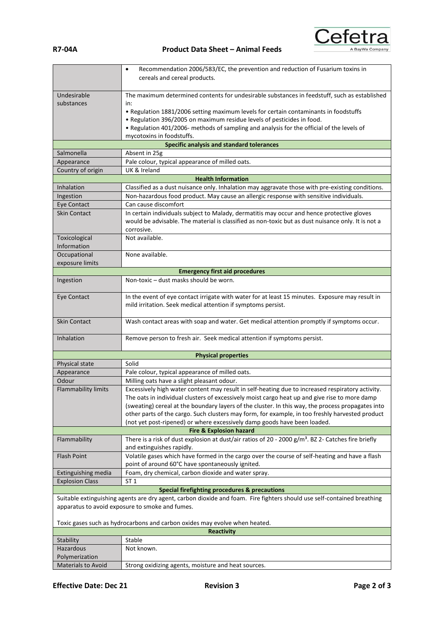**R7-04A Product Data Sheet – Animal Feeds**



|                                                                                                                         | Recommendation 2006/583/EC, the prevention and reduction of Fusarium toxins in<br>$\bullet$                                 |  |
|-------------------------------------------------------------------------------------------------------------------------|-----------------------------------------------------------------------------------------------------------------------------|--|
|                                                                                                                         | cereals and cereal products.                                                                                                |  |
|                                                                                                                         |                                                                                                                             |  |
| Undesirable                                                                                                             | The maximum determined contents for undesirable substances in feedstuff, such as established                                |  |
| substances                                                                                                              | in:<br>. Regulation 1881/2006 setting maximum levels for certain contaminants in foodstuffs                                 |  |
|                                                                                                                         | . Regulation 396/2005 on maximum residue levels of pesticides in food.                                                      |  |
|                                                                                                                         | . Regulation 401/2006- methods of sampling and analysis for the official of the levels of                                   |  |
|                                                                                                                         | mycotoxins in foodstuffs.                                                                                                   |  |
|                                                                                                                         | Specific analysis and standard tolerances                                                                                   |  |
| Salmonella                                                                                                              | Absent in 25g                                                                                                               |  |
| Appearance                                                                                                              | Pale colour, typical appearance of milled oats.                                                                             |  |
| Country of origin                                                                                                       | UK & Ireland                                                                                                                |  |
| <b>Health Information</b>                                                                                               |                                                                                                                             |  |
| Inhalation                                                                                                              | Classified as a dust nuisance only. Inhalation may aggravate those with pre-existing conditions.                            |  |
| Ingestion<br>Eye Contact                                                                                                | Non-hazardous food product. May cause an allergic response with sensitive individuals.<br>Can cause discomfort              |  |
| <b>Skin Contact</b>                                                                                                     | In certain individuals subject to Malady, dermatitis may occur and hence protective gloves                                  |  |
|                                                                                                                         | would be advisable. The material is classified as non-toxic but as dust nuisance only. It is not a                          |  |
|                                                                                                                         | corrosive.                                                                                                                  |  |
| Toxicological                                                                                                           | Not available.                                                                                                              |  |
| Information                                                                                                             |                                                                                                                             |  |
| Occupational                                                                                                            | None available.                                                                                                             |  |
| exposure limits                                                                                                         |                                                                                                                             |  |
|                                                                                                                         | <b>Emergency first aid procedures</b>                                                                                       |  |
| Ingestion                                                                                                               | Non-toxic - dust masks should be worn.                                                                                      |  |
| Eye Contact                                                                                                             | In the event of eye contact irrigate with water for at least 15 minutes. Exposure may result in                             |  |
|                                                                                                                         | mild irritation. Seek medical attention if symptoms persist.                                                                |  |
|                                                                                                                         |                                                                                                                             |  |
| <b>Skin Contact</b>                                                                                                     | Wash contact areas with soap and water. Get medical attention promptly if symptoms occur.                                   |  |
|                                                                                                                         |                                                                                                                             |  |
| Inhalation                                                                                                              | Remove person to fresh air. Seek medical attention if symptoms persist.                                                     |  |
|                                                                                                                         |                                                                                                                             |  |
| Physical state                                                                                                          | <b>Physical properties</b><br>Solid                                                                                         |  |
| Appearance                                                                                                              | Pale colour, typical appearance of milled oats.                                                                             |  |
| Odour                                                                                                                   | Milling oats have a slight pleasant odour.                                                                                  |  |
| <b>Flammability limits</b>                                                                                              | Excessively high water content may result in self-heating due to increased respiratory activity.                            |  |
|                                                                                                                         | The oats in individual clusters of excessively moist cargo heat up and give rise to more damp                               |  |
|                                                                                                                         | (sweating) cereal at the boundary layers of the cluster. In this way, the process propagates into                           |  |
|                                                                                                                         | other parts of the cargo. Such clusters may form, for example, in too freshly harvested product                             |  |
|                                                                                                                         | (not yet post-ripened) or where excessively damp goods have been loaded.                                                    |  |
| <b>Fire &amp; Explosion hazard</b>                                                                                      |                                                                                                                             |  |
| Flammability                                                                                                            | There is a risk of dust explosion at dust/air ratios of 20 - 2000 $g/m3$ . BZ 2- Catches fire briefly                       |  |
| <b>Flash Point</b>                                                                                                      | and extinguishes rapidly.<br>Volatile gases which have formed in the cargo over the course of self-heating and have a flash |  |
|                                                                                                                         | point of around 60°C have spontaneously ignited.                                                                            |  |
| Extinguishing media                                                                                                     | Foam, dry chemical, carbon dioxide and water spray.                                                                         |  |
| <b>Explosion Class</b>                                                                                                  | ST <sub>1</sub>                                                                                                             |  |
|                                                                                                                         | Special firefighting procedures & precautions                                                                               |  |
| Suitable extinguishing agents are dry agent, carbon dioxide and foam. Fire fighters should use self-contained breathing |                                                                                                                             |  |
| apparatus to avoid exposure to smoke and fumes.                                                                         |                                                                                                                             |  |
|                                                                                                                         |                                                                                                                             |  |
| Toxic gases such as hydrocarbons and carbon oxides may evolve when heated.                                              |                                                                                                                             |  |
|                                                                                                                         | <b>Reactivity</b>                                                                                                           |  |
| Stability                                                                                                               | Stable                                                                                                                      |  |
| Hazardous<br>Polymerization                                                                                             | Not known.                                                                                                                  |  |
| <b>Materials to Avoid</b>                                                                                               | Strong oxidizing agents, moisture and heat sources.                                                                         |  |
|                                                                                                                         |                                                                                                                             |  |